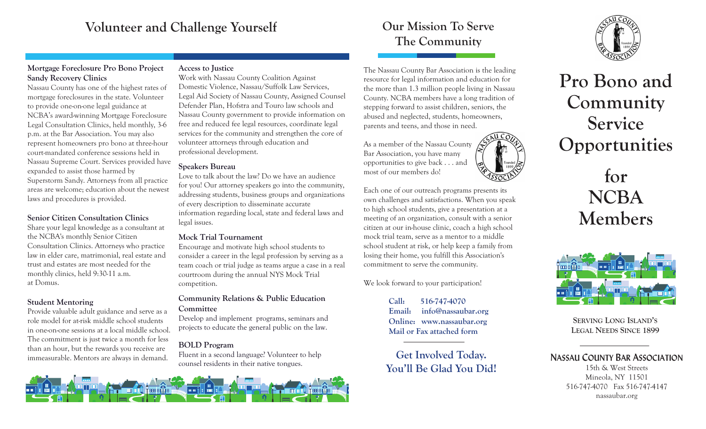# **Volunteer and Challenge Yourself**

## **Mortgage Foreclosure Pro Bono Project Sandy Recovery Clinics**

Nassau County has one of the highest rates of mortgage foreclosures in the state. Volunteer to provide one-on-one legal guidance at NCBA's award-winning Mortgage Foreclosure Legal Consultation Clinics, held monthly, 3-6 p.m. at the Bar Association. You may also represent homeowners pro bono at three-hour court-mandated conference sessions held in Nassau Supreme Court. Services provided have expanded to assist those harmed by Superstorm Sandy. Attorneys from all practice areas are welcome; education about the newest laws and procedures is provided.

#### **Senior Citizen Consultation Clinics**

Share your legal knowledge as a consultant at the NCBA's monthly Senior Citizen Consultation Clinics. Attorneys who practice law in elder care, matrimonial, real estate and trust and estates are most needed for the monthly clinics, held 9:30-11 a.m. at Domus.

### **Student Mentoring**

Provide valuable adult guidance and serve as a role model for at-risk middle school students in one-on-one sessions at a local middle school. The commitment is just twice a month for less than an hour, but the rewards you receive are immeasurable. Mentors are always in demand.

# **Access to Justice**

Work with Nassau County Coalition Against Domestic Violence, Nassau/Suffolk Law Services, Legal Aid Society of Nassau County, Assigned Counsel Defender Plan, Hofstra and Touro law schools and Nassau County government to provide information on free and reduced fee legal resources, coordinate legal services for the community and strengthen the core of volunteer attorneys through education and professional development.

# **Speakers Bureau**

Love to talk about the law? Do we have an audience for you! Our attorney speakers go into the community, addressing students, business groups and organizations of every description to disseminate accurate information regarding local, state and federal laws and legal issues.

# **Mock Trial Tournament**

Encourage and motivate high school students to consider a career in the legal profession by serving as a team coach or trial judge as teams argue a case in a real courtroom during the annual NYS Mock Trial competition.

# **Community Relations & Public Education Committee**

Develop and implement programs, seminars and projects to educate the general public on the law.

# **BOLD Program**

Fluent in a second language? Volunteer to help counsel residents in their native tongues.



# **Our Mission To Serve The Community**

The Nassau County Bar Association is the leading resource for legal information and education for the more than 1.3 million people living in Nassau County. NCBA members have a long tradition of stepping forward to assist children, seniors, the abused and neglected, students, homeowners, parents and teens, and those in need.

As a member of the Nassau County Bar Association, you have many opportunities to give back . . . and most of our members do!

Each one of our outreach programs presents its own challenges and satisfactions. When you speak to high school students, give a presentation at a meeting of an organization, consult with a senior citizen at our in-house clinic, coach a high school mock trial team, serve as a mentor to a middle school student at risk, or help keep a family from losing their home, you fulfill this Association's commitment to serve the community.

We look forward to your participation!

**Call: 516-747-4070 Email: info@nassaubar.org Online: www.nassaubar.org Mail or Fax attached form** 

**Get Involved Today. You'll Be Glad You Did!**



**Pro Bono and Community Service Opportunities** 

> **for NCBA Members**



**SERVING LONG ISLAND'S LEGAL NEEDS SINCE 1899**

# **NASSAU COUNTY BAR ASSOCIATION**

15th & West Streets Mineola, NY 11501 516-747-4070 Fax 516-747-4147 nassaubar.org